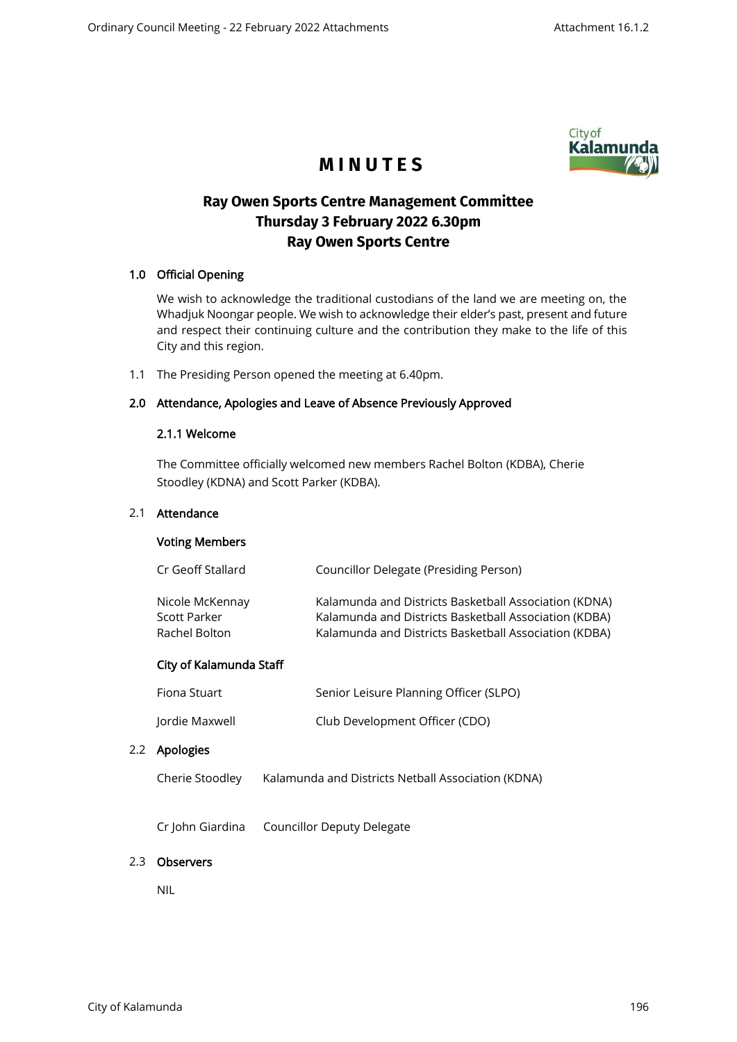

# **M I N U T E S**

## **Ray Owen Sports Centre Management Committee Thursday 3 February 2022 6.30pm Ray Owen Sports Centre**

## 1.0 Official Opening

We wish to acknowledge the traditional custodians of the land we are meeting on, the Whadjuk Noongar people. We wish to acknowledge their elder's past, present and future and respect their continuing culture and the contribution they make to the life of this City and this region.

1.1 The Presiding Person opened the meeting at 6.40pm.

## 2.0 Attendance, Apologies and Leave of Absence Previously Approved

## 2.1.1 Welcome

The Committee officially welcomed new members Rachel Bolton (KDBA), Cherie Stoodley (KDNA) and Scott Parker (KDBA).

### 2.1 Attendance

## Voting Members

| Cr Geoff Stallard                                | Councillor Delegate (Presiding Person)                                                                                                                                  |
|--------------------------------------------------|-------------------------------------------------------------------------------------------------------------------------------------------------------------------------|
| Nicole McKennay<br>Scott Parker<br>Rachel Bolton | Kalamunda and Districts Basketball Association (KDNA)<br>Kalamunda and Districts Basketball Association (KDBA)<br>Kalamunda and Districts Basketball Association (KDBA) |
| City of Kalamunda Staff                          |                                                                                                                                                                         |
| Fiona Stuart                                     | Senior Leisure Planning Officer (SLPO)                                                                                                                                  |
| Jordie Maxwell                                   | Club Development Officer (CDO)                                                                                                                                          |

#### 2.2 Apologies

| Cherie Stoodley | Kalamunda and Districts Netball Association (KDNA) |
|-----------------|----------------------------------------------------|
|-----------------|----------------------------------------------------|

Cr John Giardina Councillor Deputy Delegate

## 2.3 Observers

NIL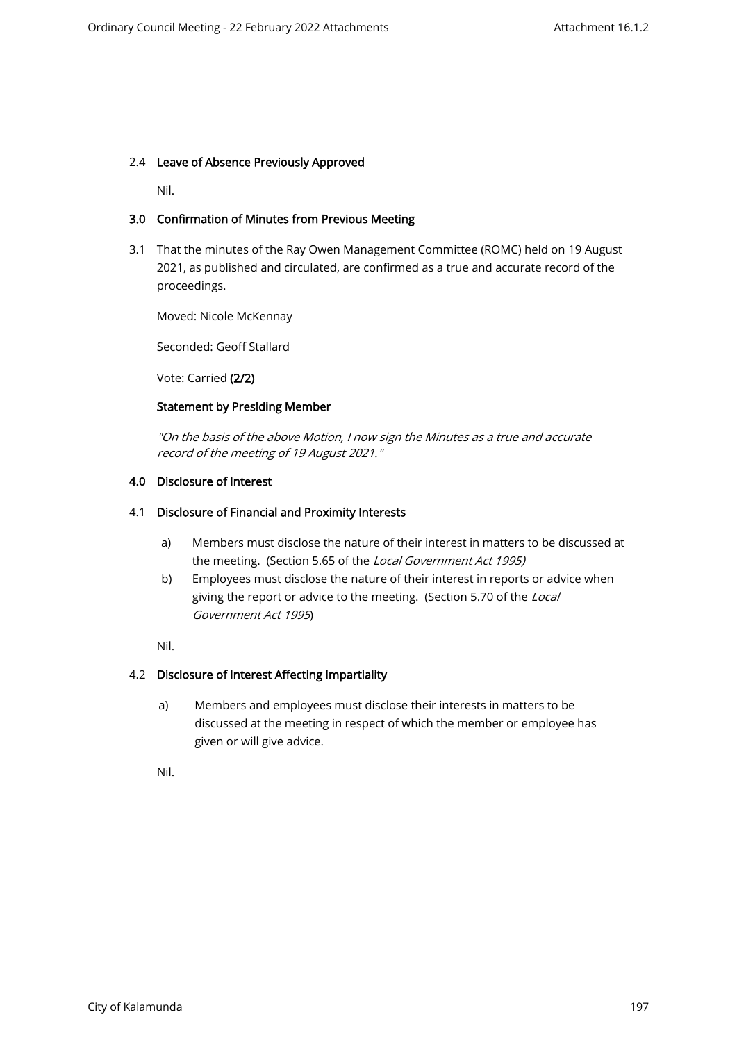#### 2.4 Leave of Absence Previously Approved

Nil.

## 3.0 Confirmation of Minutes from Previous Meeting

3.1 That the minutes of the Ray Owen Management Committee (ROMC) held on 19 August 2021, as published and circulated, are confirmed as a true and accurate record of the proceedings.

Moved: Nicole McKennay

Seconded: Geoff Stallard

Vote: Carried (2/2)

## Statement by Presiding Member

"On the basis of the above Motion, I now sign the Minutes as a true and accurate record of the meeting of 19 August 2021."

## 4.0 Disclosure of Interest

#### 4.1 Disclosure of Financial and Proximity Interests

- a) Members must disclose the nature of their interest in matters to be discussed at the meeting. (Section 5.65 of the Local Government Act 1995)
- b) Employees must disclose the nature of their interest in reports or advice when giving the report or advice to the meeting. (Section 5.70 of the Local Government Act 1995)

Nil.

## 4.2 Disclosure of Interest Affecting Impartiality

a) Members and employees must disclose their interests in matters to be discussed at the meeting in respect of which the member or employee has given or will give advice.

Nil.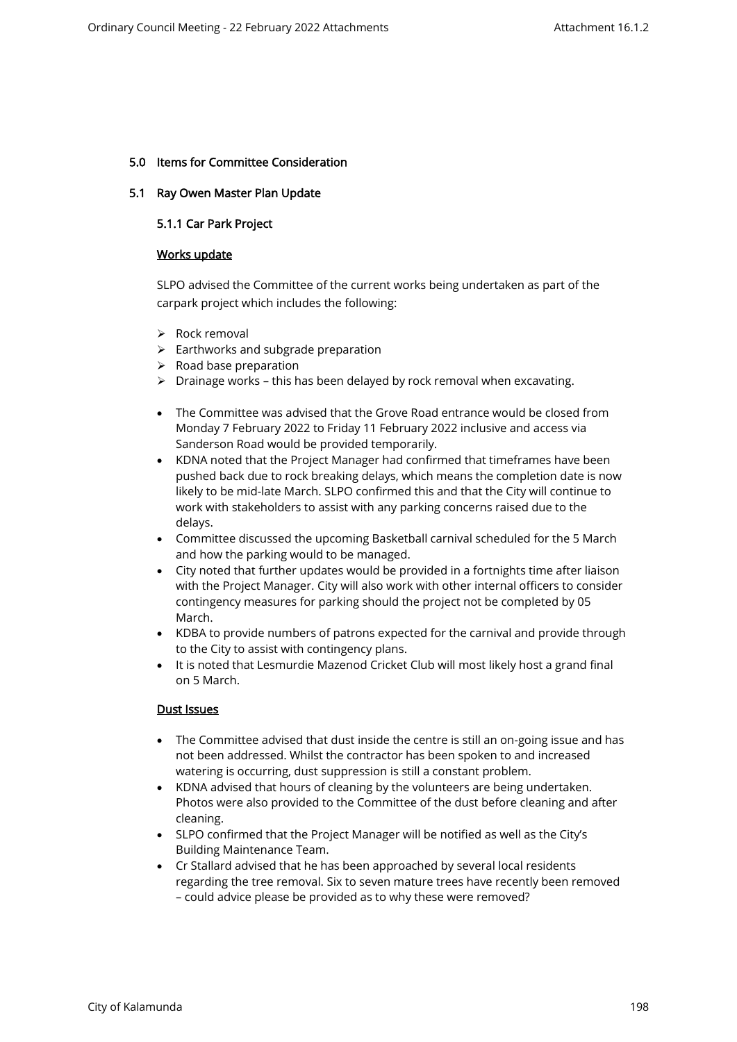### 5.0 Items for Committee Consideration

#### 5.1 Ray Owen Master Plan Update

### 5.1.1 Car Park Project

#### Works update

SLPO advised the Committee of the current works being undertaken as part of the carpark project which includes the following:

- ➢ Rock removal
- ➢ Earthworks and subgrade preparation
- $\triangleright$  Road base preparation
- ➢ Drainage works this has been delayed by rock removal when excavating.
- The Committee was advised that the Grove Road entrance would be closed from Monday 7 February 2022 to Friday 11 February 2022 inclusive and access via Sanderson Road would be provided temporarily.
- KDNA noted that the Project Manager had confirmed that timeframes have been pushed back due to rock breaking delays, which means the completion date is now likely to be mid-late March. SLPO confirmed this and that the City will continue to work with stakeholders to assist with any parking concerns raised due to the delays.
- Committee discussed the upcoming Basketball carnival scheduled for the 5 March and how the parking would to be managed.
- City noted that further updates would be provided in a fortnights time after liaison with the Project Manager. City will also work with other internal officers to consider contingency measures for parking should the project not be completed by 05 March.
- KDBA to provide numbers of patrons expected for the carnival and provide through to the City to assist with contingency plans.
- It is noted that Lesmurdie Mazenod Cricket Club will most likely host a grand final on 5 March.

## Dust Issues

- The Committee advised that dust inside the centre is still an on-going issue and has not been addressed. Whilst the contractor has been spoken to and increased watering is occurring, dust suppression is still a constant problem.
- KDNA advised that hours of cleaning by the volunteers are being undertaken. Photos were also provided to the Committee of the dust before cleaning and after cleaning.
- SLPO confirmed that the Project Manager will be notified as well as the City's Building Maintenance Team.
- Cr Stallard advised that he has been approached by several local residents regarding the tree removal. Six to seven mature trees have recently been removed – could advice please be provided as to why these were removed?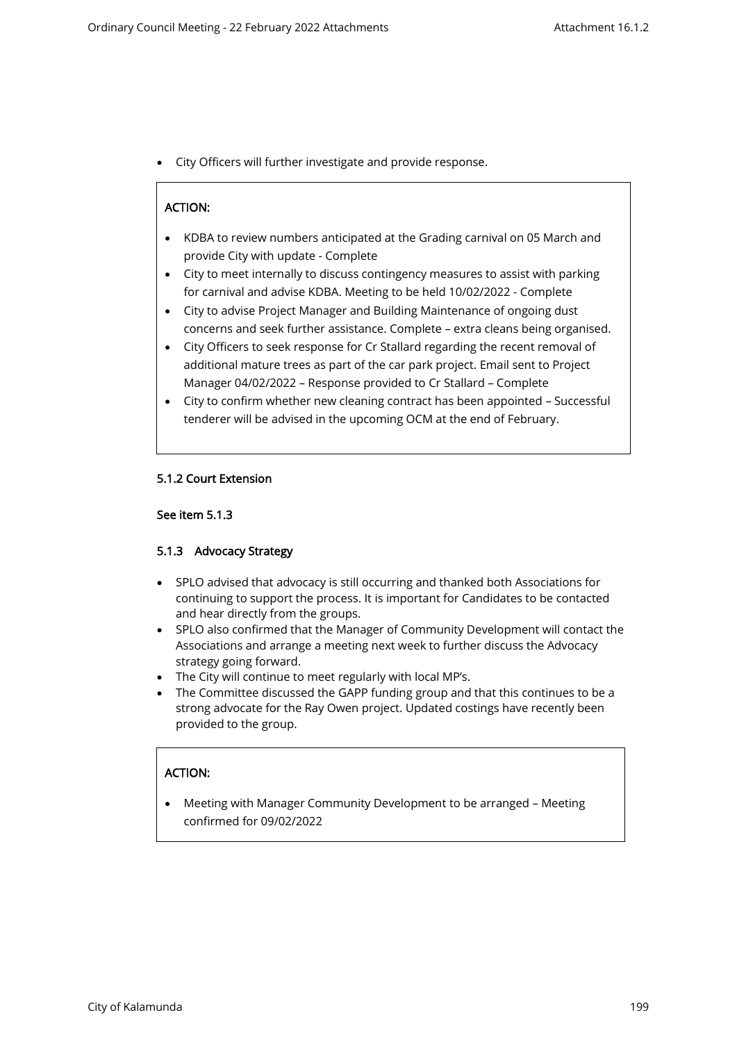• City Officers will further investigate and provide response.

## ACTION:

- KDBA to review numbers anticipated at the Grading carnival on 05 March and provide City with update - Complete
- City to meet internally to discuss contingency measures to assist with parking for carnival and advise KDBA. Meeting to be held 10/02/2022 - Complete
- City to advise Project Manager and Building Maintenance of ongoing dust concerns and seek further assistance. Complete – extra cleans being organised.
- City Officers to seek response for Cr Stallard regarding the recent removal of additional mature trees as part of the car park project. Email sent to Project Manager 04/02/2022 – Response provided to Cr Stallard – Complete
- City to confirm whether new cleaning contract has been appointed Successful tenderer will be advised in the upcoming OCM at the end of February.

#### 5.1.2 Court Extension

#### See item 5.1.3

•

#### 5.1.3 Advocacy Strategy

- SPLO advised that advocacy is still occurring and thanked both Associations for continuing to support the process. It is important for Candidates to be contacted and hear directly from the groups.
- SPLO also confirmed that the Manager of Community Development will contact the Associations and arrange a meeting next week to further discuss the Advocacy strategy going forward.
- The City will continue to meet regularly with local MP's.
- The Committee discussed the GAPP funding group and that this continues to be a strong advocate for the Ray Owen project. Updated costings have recently been provided to the group.

## ACTION:

• Meeting with Manager Community Development to be arranged – Meeting confirmed for 09/02/2022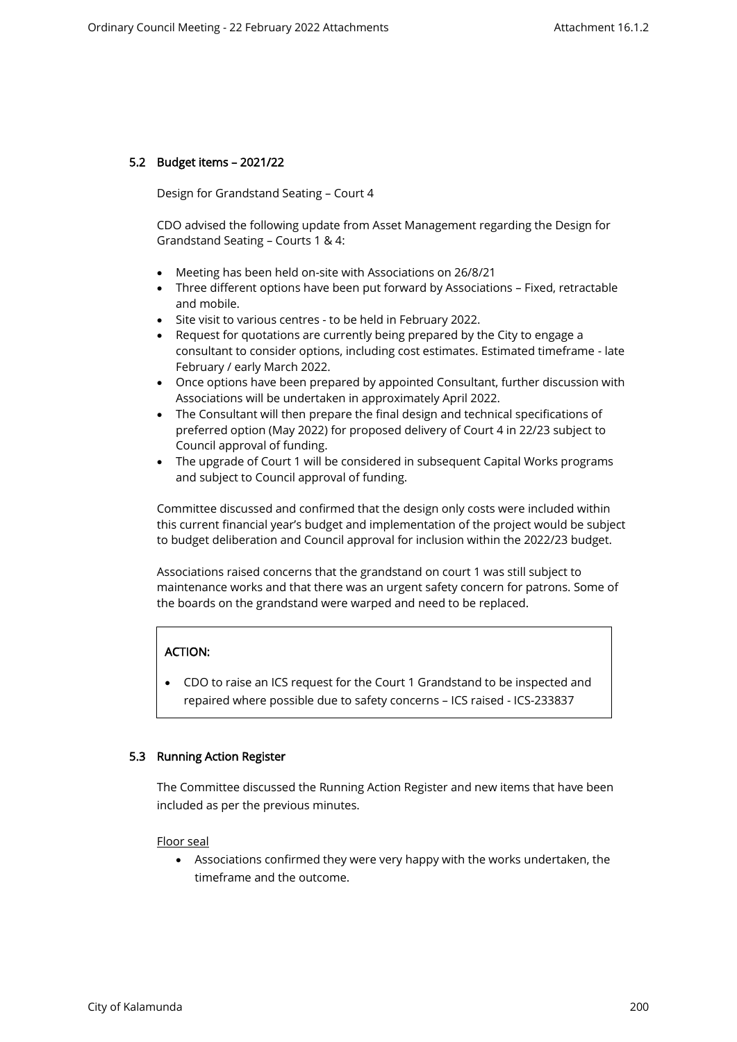## 5.2 Budget items – 2021/22

Design for Grandstand Seating – Court 4

CDO advised the following update from Asset Management regarding the Design for Grandstand Seating – Courts 1 & 4:

- Meeting has been held on-site with Associations on 26/8/21
- Three different options have been put forward by Associations Fixed, retractable and mobile.
- Site visit to various centres to be held in February 2022.
- Request for quotations are currently being prepared by the City to engage a consultant to consider options, including cost estimates. Estimated timeframe - late February / early March 2022.
- Once options have been prepared by appointed Consultant, further discussion with Associations will be undertaken in approximately April 2022.
- The Consultant will then prepare the final design and technical specifications of preferred option (May 2022) for proposed delivery of Court 4 in 22/23 subject to Council approval of funding.
- The upgrade of Court 1 will be considered in subsequent Capital Works programs and subject to Council approval of funding.

Committee discussed and confirmed that the design only costs were included within this current financial year's budget and implementation of the project would be subject to budget deliberation and Council approval for inclusion within the 2022/23 budget.

Associations raised concerns that the grandstand on court 1 was still subject to maintenance works and that there was an urgent safety concern for patrons. Some of the boards on the grandstand were warped and need to be replaced.

## ACTION:

• CDO to raise an ICS request for the Court 1 Grandstand to be inspected and repaired where possible due to safety concerns – ICS raised - ICS-233837

## 5.3 Running Action Register

The Committee discussed the Running Action Register and new items that have been included as per the previous minutes.

Floor seal

• Associations confirmed they were very happy with the works undertaken, the timeframe and the outcome.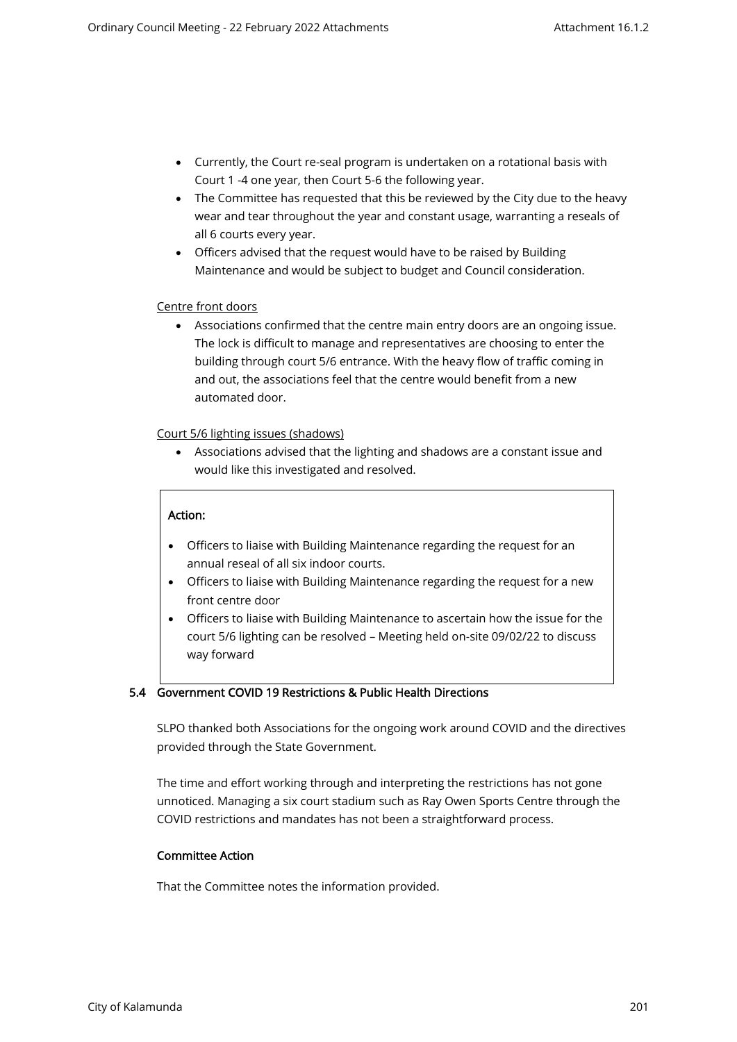- Currently, the Court re-seal program is undertaken on a rotational basis with Court 1 -4 one year, then Court 5-6 the following year.
- The Committee has requested that this be reviewed by the City due to the heavy wear and tear throughout the year and constant usage, warranting a reseals of all 6 courts every year.
- Officers advised that the request would have to be raised by Building Maintenance and would be subject to budget and Council consideration.

## Centre front doors

• Associations confirmed that the centre main entry doors are an ongoing issue. The lock is difficult to manage and representatives are choosing to enter the building through court 5/6 entrance. With the heavy flow of traffic coming in and out, the associations feel that the centre would benefit from a new automated door.

Court 5/6 lighting issues (shadows)

• Associations advised that the lighting and shadows are a constant issue and would like this investigated and resolved.

## Action:

- Officers to liaise with Building Maintenance regarding the request for an annual reseal of all six indoor courts.
- Officers to liaise with Building Maintenance regarding the request for a new front centre door
- Officers to liaise with Building Maintenance to ascertain how the issue for the court 5/6 lighting can be resolved – Meeting held on-site 09/02/22 to discuss way forward

# 5.4 Government COVID 19 Restrictions & Public Health Directions

SLPO thanked both Associations for the ongoing work around COVID and the directives provided through the State Government.

The time and effort working through and interpreting the restrictions has not gone unnoticed. Managing a six court stadium such as Ray Owen Sports Centre through the COVID restrictions and mandates has not been a straightforward process.

## Committee Action

That the Committee notes the information provided.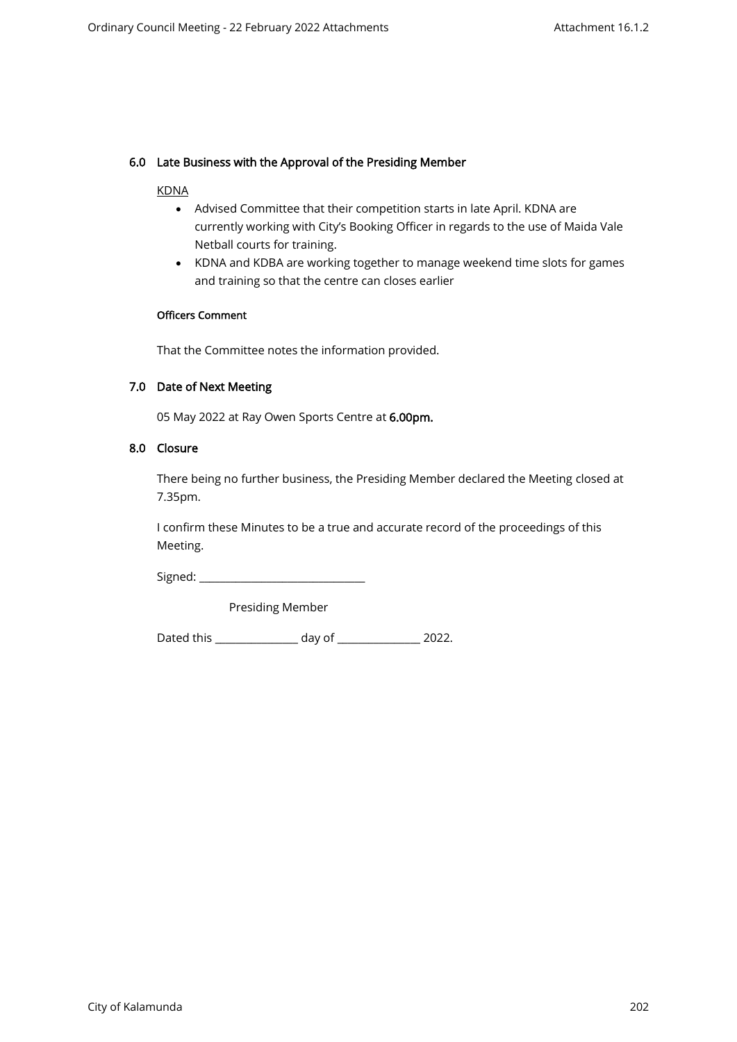## 6.0 Late Business with the Approval of the Presiding Member

#### KDNA

- Advised Committee that their competition starts in late April. KDNA are currently working with City's Booking Officer in regards to the use of Maida Vale Netball courts for training.
- KDNA and KDBA are working together to manage weekend time slots for games and training so that the centre can closes earlier

### Officers Comment

That the Committee notes the information provided.

#### 7.0 Date of Next Meeting

05 May 2022 at Ray Owen Sports Centre at 6.00pm.

#### 8.0 Closure

There being no further business, the Presiding Member declared the Meeting closed at 7.35pm.

I confirm these Minutes to be a true and accurate record of the proceedings of this Meeting.

Signed: \_\_\_\_\_\_\_\_\_\_\_\_\_\_\_\_\_\_\_\_\_\_\_\_\_\_\_\_\_\_\_\_

Presiding Member

Dated this \_\_\_\_\_\_\_\_\_\_\_\_\_\_\_\_ day of \_\_\_\_\_\_\_\_\_\_\_\_\_\_\_\_ 2022.